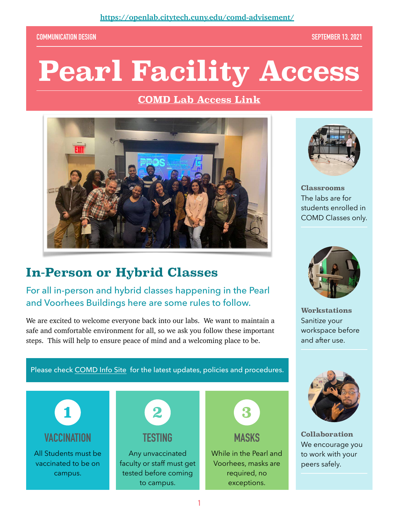#### **COMMUNICATION DESIGN SEPTEMBER 13, 2021**

# **Pearl Facility Access**

#### **[COMD Lab Access Link](https://openlab.citytech.cuny.edu/comd-advisement/)**



## **In-Person or Hybrid Classes**

#### For all in-person and hybrid classes happening in the Pearl and Voorhees Buildings here are some rules to follow.

We are excited to welcome everyone back into our labs. We want to maintain a safe and comfortable environment for all, so we ask you follow these important steps. This will help to ensure peace of mind and a welcoming place to be.



**Classrooms**  The labs are for students enrolled in COMD Classes only.



**Workstations**  Sanitize your workspace before and after use.



**Collaboration**  We encourage you to work with your peers safely.

Please check [COMD Info Site](https://openlab.citytech.cuny.edu/comd-advisement/) for the latest updates, policies and procedures.